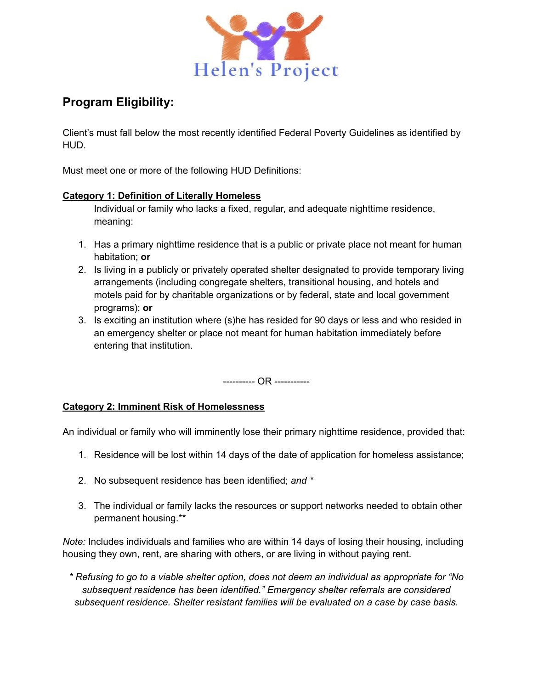

# **Program Eligibility:**

Client's must fall below the most recently identified Federal Poverty Guidelines as identified by HUD.

Must meet one or more of the following HUD Definitions:

### **Category 1: Definition of Literally Homeless**

Individual or family who lacks a fixed, regular, and adequate nighttime residence, meaning:

- 1. Has a primary nighttime residence that is a public or private place not meant for human habitation; **or**
- 2. Is living in a publicly or privately operated shelter designated to provide temporary living arrangements (including congregate shelters, transitional housing, and hotels and motels paid for by charitable organizations or by federal, state and local government programs); **or**
- 3. Is exciting an institution where (s)he has resided for 90 days or less and who resided in an emergency shelter or place not meant for human habitation immediately before entering that institution.

---------- OR -----------

## **Category 2: Imminent Risk of Homelessness**

An individual or family who will imminently lose their primary nighttime residence, provided that:

- 1. Residence will be lost within 14 days of the date of application for homeless assistance;
- 2. No subsequent residence has been identified; *and \**
- 3. The individual or family lacks the resources or support networks needed to obtain other permanent housing.\*\*

*Note:* Includes individuals and families who are within 14 days of losing their housing, including housing they own, rent, are sharing with others, or are living in without paying rent.

*\* Refusing to go to a viable shelter option, does not deem an individual as appropriate for "No subsequent residence has been identified." Emergency shelter referrals are considered subsequent residence. Shelter resistant families will be evaluated on a case by case basis.*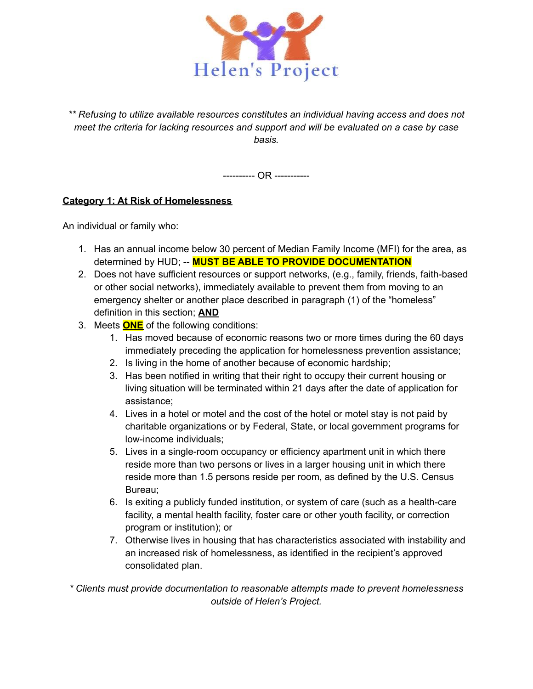

*\*\* Refusing to utilize available resources constitutes an individual having access and does not meet the criteria for lacking resources and support and will be evaluated on a case by case basis.*

---------- OR -----------

### **Category 1: At Risk of Homelessness**

An individual or family who:

- 1. Has an annual income below 30 percent of Median Family Income (MFI) for the area, as determined by HUD; -- **MUST BE ABLE TO PROVIDE DOCUMENTATION**
- 2. Does not have sufficient resources or support networks, (e.g., family, friends, faith-based or other social networks), immediately available to prevent them from moving to an emergency shelter or another place described in paragraph (1) of the "homeless" definition in this section; **AND**
- 3. Meets **ONE** of the following conditions:
	- 1. Has moved because of economic reasons two or more times during the 60 days immediately preceding the application for homelessness prevention assistance;
	- 2. Is living in the home of another because of economic hardship;
	- 3. Has been notified in writing that their right to occupy their current housing or living situation will be terminated within 21 days after the date of application for assistance;
	- 4. Lives in a hotel or motel and the cost of the hotel or motel stay is not paid by charitable organizations or by Federal, State, or local government programs for low-income individuals;
	- 5. Lives in a single-room occupancy or efficiency apartment unit in which there reside more than two persons or lives in a larger housing unit in which there reside more than 1.5 persons reside per room, as defined by the U.S. Census Bureau;
	- 6. Is exiting a publicly funded institution, or system of care (such as a health-care facility, a mental health facility, foster care or other youth facility, or correction program or institution); or
	- 7. Otherwise lives in housing that has characteristics associated with instability and an increased risk of homelessness, as identified in the recipient's approved consolidated plan.

*\* Clients must provide documentation to reasonable attempts made to prevent homelessness outside of Helen's Project.*